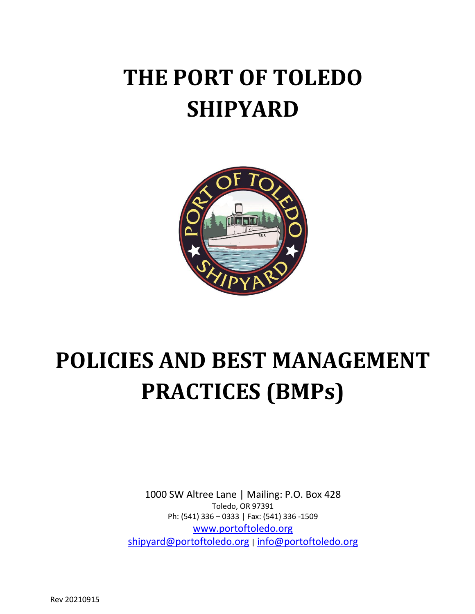# **THE PORT OF TOLEDO SHIPYARD**



# **POLICIES AND BEST MANAGEMENT PRACTICES (BMPs)**

1000 SW Altree Lane | Mailing: P.O. Box 428 Toledo, OR 97391 Ph: (541) 336 – 0333 | Fax: (541) 336 -1509 [www.portoftoledo.org](http://www.portoftoledo.org/) [shipyard@portoftoledo.org](mailto:shipyard@portoftoledo.org) | [info@portoftoledo.org](mailto:info@portoftoledo.org)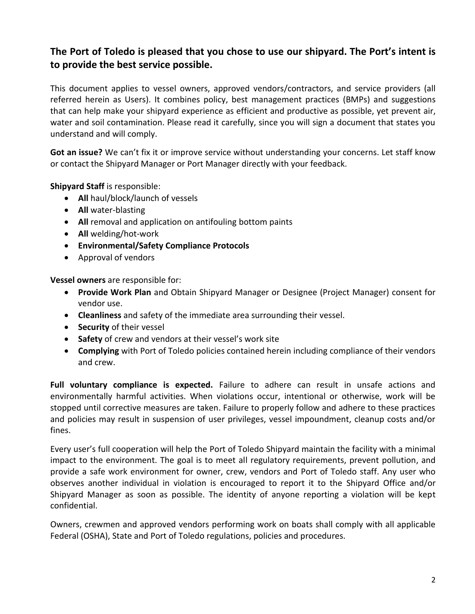# **The Port of Toledo is pleased that you chose to use our shipyard. The Port's intent is to provide the best service possible.**

This document applies to vessel owners, approved vendors/contractors, and service providers (all referred herein as Users). It combines policy, best management practices (BMPs) and suggestions that can help make your shipyard experience as efficient and productive as possible, yet prevent air, water and soil contamination. Please read it carefully, since you will sign a document that states you understand and will comply.

**Got an issue?** We can't fix it or improve service without understanding your concerns. Let staff know or contact the Shipyard Manager or Port Manager directly with your feedback.

**Shipyard Staff** is responsible:

- **All** haul/block/launch of vessels
- **All** water-blasting
- **All** removal and application on antifouling bottom paints
- **All** welding/hot-work
- **Environmental/Safety Compliance Protocols**
- Approval of vendors

**Vessel owners** are responsible for:

- **Provide Work Plan** and Obtain Shipyard Manager or Designee (Project Manager) consent for vendor use.
- **Cleanliness** and safety of the immediate area surrounding their vessel.
- **Security** of their vessel
- **Safety** of crew and vendors at their vessel's work site
- **Complying** with Port of Toledo policies contained herein including compliance of their vendors and crew.

**Full voluntary compliance is expected.** Failure to adhere can result in unsafe actions and environmentally harmful activities. When violations occur, intentional or otherwise, work will be stopped until corrective measures are taken. Failure to properly follow and adhere to these practices and policies may result in suspension of user privileges, vessel impoundment, cleanup costs and/or fines.

Every user's full cooperation will help the Port of Toledo Shipyard maintain the facility with a minimal impact to the environment. The goal is to meet all regulatory requirements, prevent pollution, and provide a safe work environment for owner, crew, vendors and Port of Toledo staff. Any user who observes another individual in violation is encouraged to report it to the Shipyard Office and/or Shipyard Manager as soon as possible. The identity of anyone reporting a violation will be kept confidential.

Owners, crewmen and approved vendors performing work on boats shall comply with all applicable Federal (OSHA), State and Port of Toledo regulations, policies and procedures.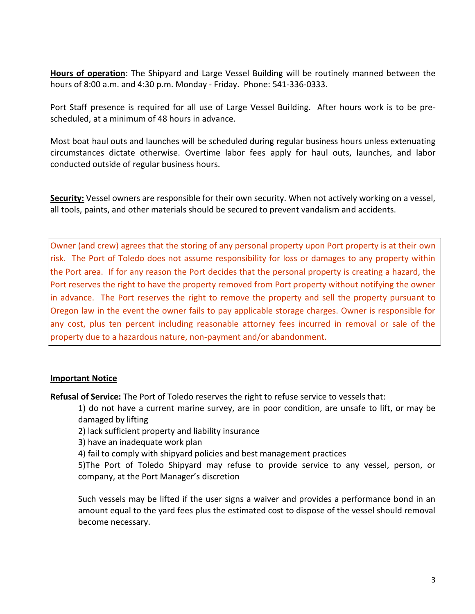**Hours of operation**: The Shipyard and Large Vessel Building will be routinely manned between the hours of 8:00 a.m. and 4:30 p.m. Monday - Friday. Phone: 541-336-0333.

Port Staff presence is required for all use of Large Vessel Building. After hours work is to be prescheduled, at a minimum of 48 hours in advance.

Most boat haul outs and launches will be scheduled during regular business hours unless extenuating circumstances dictate otherwise. Overtime labor fees apply for haul outs, launches, and labor conducted outside of regular business hours.

**Security:** Vessel owners are responsible for their own security. When not actively working on a vessel, all tools, paints, and other materials should be secured to prevent vandalism and accidents.

Owner (and crew) agrees that the storing of any personal property upon Port property is at their own risk. The Port of Toledo does not assume responsibility for loss or damages to any property within the Port area. If for any reason the Port decides that the personal property is creating a hazard, the Port reserves the right to have the property removed from Port property without notifying the owner in advance. The Port reserves the right to remove the property and sell the property pursuant to Oregon law in the event the owner fails to pay applicable storage charges. Owner is responsible for any cost, plus ten percent including reasonable attorney fees incurred in removal or sale of the property due to a hazardous nature, non-payment and/or abandonment.

#### **Important Notice**

**Refusal of Service:** The Port of Toledo reserves the right to refuse service to vessels that:

1) do not have a current marine survey, are in poor condition, are unsafe to lift, or may be damaged by lifting

2) lack sufficient property and liability insurance

3) have an inadequate work plan

4) fail to comply with shipyard policies and best management practices

5)The Port of Toledo Shipyard may refuse to provide service to any vessel, person, or company, at the Port Manager's discretion

Such vessels may be lifted if the user signs a waiver and provides a performance bond in an amount equal to the yard fees plus the estimated cost to dispose of the vessel should removal become necessary.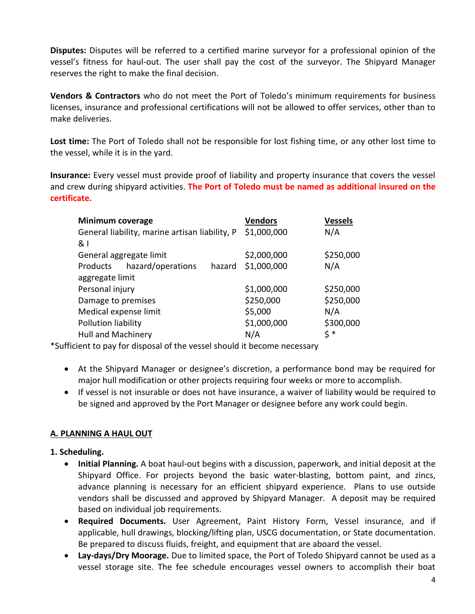**Disputes:** Disputes will be referred to a certified marine surveyor for a professional opinion of the vessel's fitness for haul-out. The user shall pay the cost of the surveyor. The Shipyard Manager reserves the right to make the final decision.

**Vendors & Contractors** who do not meet the Port of Toledo's minimum requirements for business licenses, insurance and professional certifications will not be allowed to offer services, other than to make deliveries.

**Lost time:** The Port of Toledo shall not be responsible for lost fishing time, or any other lost time to the vessel, while it is in the yard.

**Insurance:** Every vessel must provide proof of liability and property insurance that covers the vessel and crew during shipyard activities. **The Port of Toledo must be named as additional insured on the certificate.**

| <b>Minimum coverage</b>                        |                   |        | <b>Vendors</b> | <b>Vessels</b> |
|------------------------------------------------|-------------------|--------|----------------|----------------|
| General liability, marine artisan liability, P |                   |        | \$1,000,000    | N/A            |
| &।                                             |                   |        |                |                |
| General aggregate limit                        |                   |        | \$2,000,000    | \$250,000      |
| Products                                       | hazard/operations | hazard | \$1,000,000    | N/A            |
| aggregate limit                                |                   |        |                |                |
| Personal injury                                |                   |        | \$1,000,000    | \$250,000      |
| Damage to premises                             |                   |        | \$250,000      | \$250,000      |
| Medical expense limit                          |                   |        | \$5,000        | N/A            |
| Pollution liability                            |                   |        | \$1,000,000    | \$300,000      |
| Hull and Machinery                             |                   |        | N/A            | \$ *           |

\*Sufficient to pay for disposal of the vessel should it become necessary

- At the Shipyard Manager or designee's discretion, a performance bond may be required for major hull modification or other projects requiring four weeks or more to accomplish.
- If vessel is not insurable or does not have insurance, a waiver of liability would be required to be signed and approved by the Port Manager or designee before any work could begin.

#### **A. PLANNING A HAUL OUT**

#### **1. Scheduling.**

- **Initial Planning.** A boat haul-out begins with a discussion, paperwork, and initial deposit at the Shipyard Office. For projects beyond the basic water-blasting, bottom paint, and zincs, advance planning is necessary for an efficient shipyard experience. Plans to use outside vendors shall be discussed and approved by Shipyard Manager. A deposit may be required based on individual job requirements.
- **Required Documents.** User Agreement, Paint History Form, Vessel insurance, and if applicable, hull drawings, blocking/lifting plan, USCG documentation, or State documentation. Be prepared to discuss fluids, freight, and equipment that are aboard the vessel.
- **Lay-days/Dry Moorage.** Due to limited space, the Port of Toledo Shipyard cannot be used as a vessel storage site. The fee schedule encourages vessel owners to accomplish their boat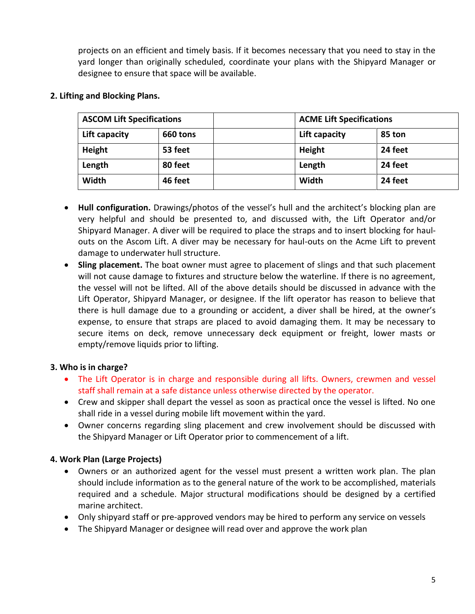projects on an efficient and timely basis. If it becomes necessary that you need to stay in the yard longer than originally scheduled, coordinate your plans with the Shipyard Manager or designee to ensure that space will be available.

| <b>ASCOM Lift Specifications</b> |          | <b>ACME Lift Specifications</b> |  |  |
|----------------------------------|----------|---------------------------------|--|--|
| Lift capacity                    | 660 tons | Lift capacity<br>85 ton         |  |  |
| Height                           | 53 feet  | 24 feet<br>Height               |  |  |
| Length                           | 80 feet  | 24 feet<br>Length               |  |  |
| Width                            | 46 feet  | Width<br>24 feet                |  |  |

#### **2. Lifting and Blocking Plans.**

- **Hull configuration.** Drawings/photos of the vessel's hull and the architect's blocking plan are very helpful and should be presented to, and discussed with, the Lift Operator and/or Shipyard Manager. A diver will be required to place the straps and to insert blocking for haulouts on the Ascom Lift. A diver may be necessary for haul-outs on the Acme Lift to prevent damage to underwater hull structure.
- **Sling placement.** The boat owner must agree to placement of slings and that such placement will not cause damage to fixtures and structure below the waterline. If there is no agreement, the vessel will not be lifted. All of the above details should be discussed in advance with the Lift Operator, Shipyard Manager, or designee. If the lift operator has reason to believe that there is hull damage due to a grounding or accident, a diver shall be hired, at the owner's expense, to ensure that straps are placed to avoid damaging them. It may be necessary to secure items on deck, remove unnecessary deck equipment or freight, lower masts or empty/remove liquids prior to lifting.

# **3. Who is in charge?**

- The Lift Operator is in charge and responsible during all lifts. Owners, crewmen and vessel staff shall remain at a safe distance unless otherwise directed by the operator.
- Crew and skipper shall depart the vessel as soon as practical once the vessel is lifted. No one shall ride in a vessel during mobile lift movement within the yard.
- Owner concerns regarding sling placement and crew involvement should be discussed with the Shipyard Manager or Lift Operator prior to commencement of a lift.

# **4. Work Plan (Large Projects)**

- Owners or an authorized agent for the vessel must present a written work plan. The plan should include information as to the general nature of the work to be accomplished, materials required and a schedule. Major structural modifications should be designed by a certified marine architect.
- Only shipyard staff or pre-approved vendors may be hired to perform any service on vessels
- The Shipyard Manager or designee will read over and approve the work plan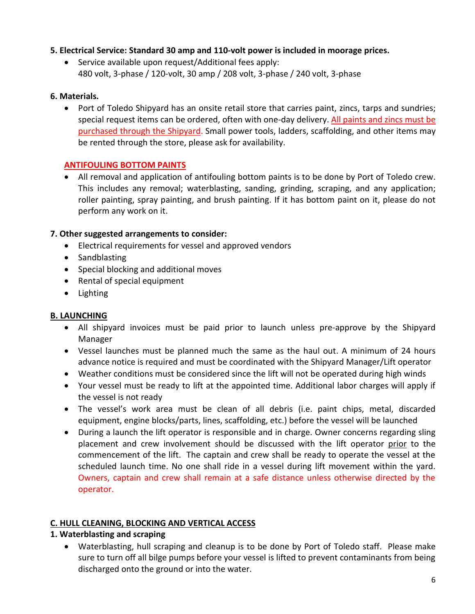## **5. Electrical Service: Standard 30 amp and 110-volt power is included in moorage prices.**

• Service available upon request/Additional fees apply: 480 volt, 3-phase / 120-volt, 30 amp / 208 volt, 3-phase / 240 volt, 3-phase

## **6. Materials.**

• Port of Toledo Shipyard has an onsite retail store that carries paint, zincs, tarps and sundries; special request items can be ordered, often with one-day delivery. All paints and zincs must be purchased through the Shipyard. Small power tools, ladders, scaffolding, and other items may be rented through the store, please ask for availability.

## **ANTIFOULING BOTTOM PAINTS**

• All removal and application of antifouling bottom paints is to be done by Port of Toledo crew. This includes any removal; waterblasting, sanding, grinding, scraping, and any application; roller painting, spray painting, and brush painting. If it has bottom paint on it, please do not perform any work on it.

## **7. Other suggested arrangements to consider:**

- Electrical requirements for vessel and approved vendors
- Sandblasting
- Special blocking and additional moves
- Rental of special equipment
- Lighting

# **B. LAUNCHING**

- All shipyard invoices must be paid prior to launch unless pre-approve by the Shipyard Manager
- Vessel launches must be planned much the same as the haul out. A minimum of 24 hours advance notice is required and must be coordinated with the Shipyard Manager/Lift operator
- Weather conditions must be considered since the lift will not be operated during high winds
- Your vessel must be ready to lift at the appointed time. Additional labor charges will apply if the vessel is not ready
- The vessel's work area must be clean of all debris (i.e. paint chips, metal, discarded equipment, engine blocks/parts, lines, scaffolding, etc.) before the vessel will be launched
- During a launch the lift operator is responsible and in charge. Owner concerns regarding sling placement and crew involvement should be discussed with the lift operator prior to the commencement of the lift. The captain and crew shall be ready to operate the vessel at the scheduled launch time. No one shall ride in a vessel during lift movement within the yard. Owners, captain and crew shall remain at a safe distance unless otherwise directed by the operator.

#### **C. HULL CLEANING, BLOCKING AND VERTICAL ACCESS**

# **1. Waterblasting and scraping**

• Waterblasting, hull scraping and cleanup is to be done by Port of Toledo staff. Please make sure to turn off all bilge pumps before your vessel is lifted to prevent contaminants from being discharged onto the ground or into the water.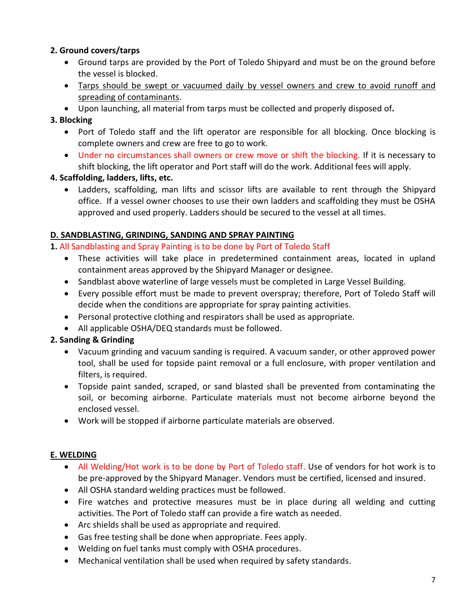# **2. Ground covers/tarps**

- Ground tarps are provided by the Port of Toledo Shipyard and must be on the ground before the vessel is blocked.
- Tarps should be swept or vacuumed daily by vessel owners and crew to avoid runoff and spreading of contaminants.
- Upon launching, all material from tarps must be collected and properly disposed of**.**

# **3. Blocking**

- Port of Toledo staff and the lift operator are responsible for all blocking. Once blocking is complete owners and crew are free to go to work.
- Under no circumstances shall owners or crew move or shift the blocking. If it is necessary to shift blocking, the lift operator and Port staff will do the work. Additional fees will apply.

# **4. Scaffolding, ladders, lifts, etc.**

• Ladders, scaffolding, man lifts and scissor lifts are available to rent through the Shipyard office. If a vessel owner chooses to use their own ladders and scaffolding they must be OSHA approved and used properly. Ladders should be secured to the vessel at all times.

# **D. SANDBLASTING, GRINDING, SANDING AND SPRAY PAINTING**

- **1.** All Sandblasting and Spray Painting is to be done by Port of Toledo Staff
	- These activities will take place in predetermined containment areas, located in upland containment areas approved by the Shipyard Manager or designee.
	- Sandblast above waterline of large vessels must be completed in Large Vessel Building.
	- Every possible effort must be made to prevent overspray; therefore, Port of Toledo Staff will decide when the conditions are appropriate for spray painting activities.
	- Personal protective clothing and respirators shall be used as appropriate.
	- All applicable OSHA/DEQ standards must be followed.

# **2. Sanding & Grinding**

- Vacuum grinding and vacuum sanding is required. A vacuum sander, or other approved power tool, shall be used for topside paint removal or a full enclosure, with proper ventilation and filters, is required.
- Topside paint sanded, scraped, or sand blasted shall be prevented from contaminating the soil, or becoming airborne. Particulate materials must not become airborne beyond the enclosed vessel.
- Work will be stopped if airborne particulate materials are observed.

# **E. WELDING**

- All Welding/Hot work is to be done by Port of Toledo staff. Use of vendors for hot work is to be pre-approved by the Shipyard Manager. Vendors must be certified, licensed and insured.
- All OSHA standard welding practices must be followed.
- Fire watches and protective measures must be in place during all welding and cutting activities. The Port of Toledo staff can provide a fire watch as needed.
- Arc shields shall be used as appropriate and required.
- Gas free testing shall be done when appropriate. Fees apply.
- Welding on fuel tanks must comply with OSHA procedures.
- Mechanical ventilation shall be used when required by safety standards.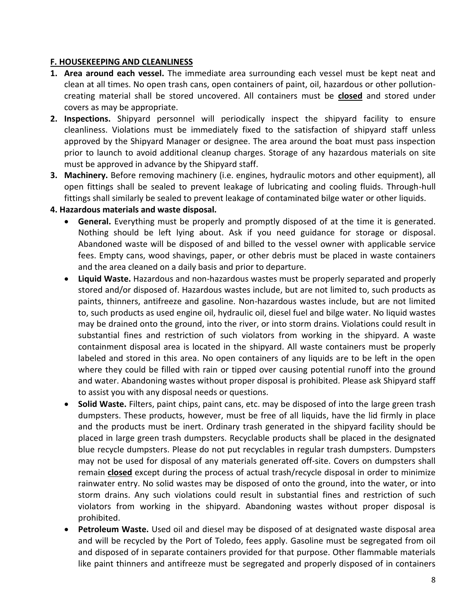#### **F. HOUSEKEEPING AND CLEANLINESS**

- **1. Area around each vessel.** The immediate area surrounding each vessel must be kept neat and clean at all times. No open trash cans, open containers of paint, oil, hazardous or other pollutioncreating material shall be stored uncovered. All containers must be **closed** and stored under covers as may be appropriate.
- **2. Inspections.** Shipyard personnel will periodically inspect the shipyard facility to ensure cleanliness. Violations must be immediately fixed to the satisfaction of shipyard staff unless approved by the Shipyard Manager or designee. The area around the boat must pass inspection prior to launch to avoid additional cleanup charges. Storage of any hazardous materials on site must be approved in advance by the Shipyard staff.
- **3. Machinery.** Before removing machinery (i.e. engines, hydraulic motors and other equipment), all open fittings shall be sealed to prevent leakage of lubricating and cooling fluids. Through-hull fittings shall similarly be sealed to prevent leakage of contaminated bilge water or other liquids.

#### **4. Hazardous materials and waste disposal.**

- General. Everything must be properly and promptly disposed of at the time it is generated. Nothing should be left lying about. Ask if you need guidance for storage or disposal. Abandoned waste will be disposed of and billed to the vessel owner with applicable service fees. Empty cans, wood shavings, paper, or other debris must be placed in waste containers and the area cleaned on a daily basis and prior to departure.
- **Liquid Waste.** Hazardous and non-hazardous wastes must be properly separated and properly stored and/or disposed of. Hazardous wastes include, but are not limited to, such products as paints, thinners, antifreeze and gasoline. Non-hazardous wastes include, but are not limited to, such products as used engine oil, hydraulic oil, diesel fuel and bilge water. No liquid wastes may be drained onto the ground, into the river, or into storm drains. Violations could result in substantial fines and restriction of such violators from working in the shipyard. A waste containment disposal area is located in the shipyard. All waste containers must be properly labeled and stored in this area. No open containers of any liquids are to be left in the open where they could be filled with rain or tipped over causing potential runoff into the ground and water. Abandoning wastes without proper disposal is prohibited. Please ask Shipyard staff to assist you with any disposal needs or questions.
- **Solid Waste.** Filters, paint chips, paint cans, etc. may be disposed of into the large green trash dumpsters. These products, however, must be free of all liquids, have the lid firmly in place and the products must be inert. Ordinary trash generated in the shipyard facility should be placed in large green trash dumpsters. Recyclable products shall be placed in the designated blue recycle dumpsters. Please do not put recyclables in regular trash dumpsters. Dumpsters may not be used for disposal of any materials generated off-site. Covers on dumpsters shall remain **closed** except during the process of actual trash/recycle disposal in order to minimize rainwater entry. No solid wastes may be disposed of onto the ground, into the water, or into storm drains. Any such violations could result in substantial fines and restriction of such violators from working in the shipyard. Abandoning wastes without proper disposal is prohibited.
- **Petroleum Waste.** Used oil and diesel may be disposed of at designated waste disposal area and will be recycled by the Port of Toledo, fees apply. Gasoline must be segregated from oil and disposed of in separate containers provided for that purpose. Other flammable materials like paint thinners and antifreeze must be segregated and properly disposed of in containers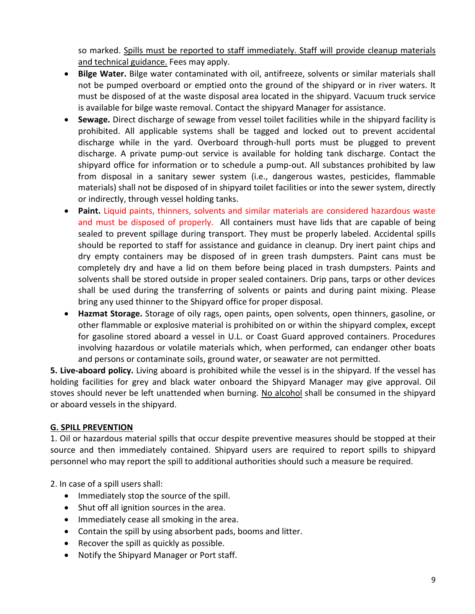so marked. Spills must be reported to staff immediately. Staff will provide cleanup materials and technical guidance. Fees may apply.

- **Bilge Water.** Bilge water contaminated with oil, antifreeze, solvents or similar materials shall not be pumped overboard or emptied onto the ground of the shipyard or in river waters. It must be disposed of at the waste disposal area located in the shipyard. Vacuum truck service is available for bilge waste removal. Contact the shipyard Manager for assistance.
- **Sewage.** Direct discharge of sewage from vessel toilet facilities while in the shipyard facility is prohibited. All applicable systems shall be tagged and locked out to prevent accidental discharge while in the yard. Overboard through-hull ports must be plugged to prevent discharge. A private pump-out service is available for holding tank discharge. Contact the shipyard office for information or to schedule a pump-out. All substances prohibited by law from disposal in a sanitary sewer system (i.e., dangerous wastes, pesticides, flammable materials) shall not be disposed of in shipyard toilet facilities or into the sewer system, directly or indirectly, through vessel holding tanks.
- **Paint.** Liquid paints, thinners, solvents and similar materials are considered hazardous waste and must be disposed of properly.All containers must have lids that are capable of being sealed to prevent spillage during transport. They must be properly labeled. Accidental spills should be reported to staff for assistance and guidance in cleanup. Dry inert paint chips and dry empty containers may be disposed of in green trash dumpsters. Paint cans must be completely dry and have a lid on them before being placed in trash dumpsters. Paints and solvents shall be stored outside in proper sealed containers. Drip pans, tarps or other devices shall be used during the transferring of solvents or paints and during paint mixing. Please bring any used thinner to the Shipyard office for proper disposal.
- **Hazmat Storage.** Storage of oily rags, open paints, open solvents, open thinners, gasoline, or other flammable or explosive material is prohibited on or within the shipyard complex, except for gasoline stored aboard a vessel in U.L. or Coast Guard approved containers. Procedures involving hazardous or volatile materials which, when performed, can endanger other boats and persons or contaminate soils, ground water, or seawater are not permitted.

**5. Live-aboard policy.** Living aboard is prohibited while the vessel is in the shipyard. If the vessel has holding facilities for grey and black water onboard the Shipyard Manager may give approval. Oil stoves should never be left unattended when burning. No alcohol shall be consumed in the shipyard or aboard vessels in the shipyard.

#### **G. SPILL PREVENTION**

1. Oil or hazardous material spills that occur despite preventive measures should be stopped at their source and then immediately contained. Shipyard users are required to report spills to shipyard personnel who may report the spill to additional authorities should such a measure be required.

2. In case of a spill users shall:

- Immediately stop the source of the spill.
- Shut off all ignition sources in the area.
- Immediately cease all smoking in the area.
- Contain the spill by using absorbent pads, booms and litter.
- Recover the spill as quickly as possible.
- Notify the Shipyard Manager or Port staff.